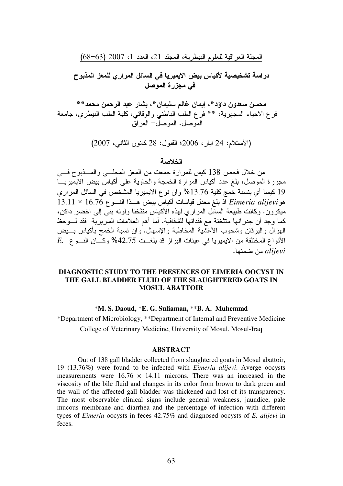# دراسة تشخيصية لأكياس بيض الايميريا فى السائل المراري للمعز المذبوح في مجزرة الموصل

محسن سعدون داؤد \* ، إيمان غانم سليمان \* ، بشار عبد الرحمن محمد \* \* فرع الاحياء المجهرية، \*\* فرع الطبِّ الباطني والوقائي، كلية الطب البيطري، جامعة الموصل. الموصلُ- العر اقَ

(الأستلام: 24 ابار ، 2006؛ القبول: 28 كانون الثاني، 2007)

#### الخلاصة

من خلال فحص 138 كيس للمرارة جمعت من المعز المحلسي والمسذبوح فسي مجزرة الموصل، بلغ عدد أكياس المرارة الخمجة والحاوية على أكياس بيض الإيميريـــا 19 كيسا أي بنسبة خمج كلية 13.76% وإن نوع الإيميريا المشخص في السائل المراري  $13.11 \times 16.76$  هو Eimeria alijevi أذ بلغ معدل قياسات أكياس بيض هــذا النـــو ع ميكر ون. وكانت طبيعة السائل المر ارى لهذه الأكياس متثخنا ولونه بنِّي إلى اخضر داكن، كما وجد أن جدر انها منتخنة مع فقدانها للشفافية. أما أهم العلامات السرّ بر ية فقد لـــوحظ الهزال واليرقان وشحوب الأغشَّية المخاطبة والإسهال. وان نسبة الخمج بأكياس بسيض  $E.$  الأنواع المختلفة من الايميريا في عينات البراز قد بلغــت 42.75% وكَـــان النـــو ع alijevi من ضمنها.

### **DIAGNOSTIC STUDY TO THE PRESENCES OF EIMERIA OOCYST IN** THE GALL BLADDER FLUID OF THE SLAUGHTERED GOATS IN **MOSUL ABATTOIR**

#### \*M. S. Daoud, \*E. G. Suliaman, \*\*B. A. Muhemmd

\*Department of Microbiology, \*\*Department of Internal and Preventive Medicine College of Veterinary Medicine, University of Mosul. Mosul-Iraq

#### **ABSTRACT**

Out of 138 gall bladder collected from slaughtered goats in Mosul abattoir, 19 (13.76%) were found to be infected with *Eimeria alijevi*. Averge oocysts measurements were  $16.76 \times 14.11$  microns. There was an increased in the viscosity of the bile fluid and changes in its color from brown to dark green and the wall of the affected gall bladder was thickened and lost of its transparency. The most observable clinical signs include general weakness, jaundice, pale mucous membrane and diarrhea and the percentage of infection with different types of *Eimeria* oocysts in feces 42.75% and diagnosed oocysts of *E. alijevi* in feces.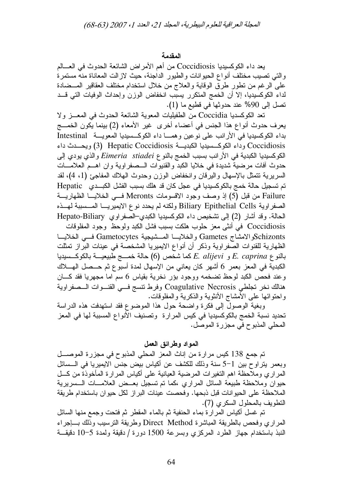### المقدمة

يعد داء الكوكسيديا Coccidiosis من أهم الأمر اض الشائعة الحدوث في العسالم والتي تصبب مختلف أنواع الحيوانات والطبور الداجنة، حيث لازالت المعاناة منه مستمرة على الرغم من نطور طرق الوقاية والعلاج من خلال استخدام مختلف العقاقير المـــضادة لداء الكوكسيديا، إلا أن الخمج المتكرر يسبب انخفاض الوزن وإحداث الوفيات التي قــد تصل إلى 90% عند حدوثها في قطيع ما (1).

نعد الكوكسديا Coccidia من الطفيليات المعوية الشائعة الحدوث في المعـــز ولا يعرف حدوث أنواع هذا الجنس في أعضاء أخرى غير الأمعاء (2) بينما يكون الخمـــج بداء الكوكسيديا في الأرانب على نوعين وهمـــا داء الكوكــسيديا المعويـــة Intestinal Coccidiosis وداء الكوكسيديا الكبديسة Hepatic Coccidiosis (3) ويحسدث داء الكوكسيديا الكبدية في الأرانب بسبب الخمج بالنو ع Eimeria stiadei والذي يودي إلى حدوث أفات مرضية شديدة في خلايا الكبد والقنيوات الـــصفراوية وان اهـــم العلامـــات السريرية نتمثَّل بالإسهال واليرقان وانخفاض الوزن وحدوث الهلاك المفاجئ (1، 4)، لقد تم تسجيل حالة خمج بالكوكسيديا في عجل كان قد هلك بسبب الفشل الكبــدي Hepatic Failure من قبل (5) إذ وصف وجود الاقسومات Meronts فسي الخلايسا الظهاريسة الصفر اوية Biliary Epithelial Cells ولكنه لم يحدد نوع الايميريـــا المــسببة لهــذه الحالة. وقد أشار (2) إلى تشخيص داء الكوكسيديا الكبدي–الصفراوي Hepato-Biliary Coccidiosis في أنثى معز حلوب هلكت بسبب فشل الكبد ولوحظ وجود المفلوقات Schizontsوالامشاج Gametes والخلايسا المسشيجية Gametocytes فسي الخلايسا الظهارية للقنوات الصفراوية وذكر أن أنواع الايميريا المشخصة في عينات البراز تمثلت بالنو ع E. caprina و E. alijevi كما شخص (6) حالة خمـــج طبيعيـــة بالكوكـــسيديا الكبدية في المعز بعمر 6 أشهر كان يعاني من الإسهال لمدة أسبوع ثم حــصل الهـــلاك وعند فحص الكبد لوحظ تضخمه ووجود بؤر نخرية بقياس 6 سم اما مجهريا فقد كـــان هنالك نخر تجلطي Coagulative Necrosis وفرط نتسج فسي القنسوات السصفراوية واحتوائها على الأمشاج الأنثوية والذكرية والمفلوقات.

وبغية الوصول إلى فكرة واضحة حول هذا الموضوع فقد استهدفت هذه الدراسة تحديد نسبة الخمج بالكوكسيديا في كيس المرارة وتصنيف الأنواع المسببة لها في المعز المحلي المذبوح في مجزرة الموصل.

## المواد وطرائق العمل

تم جمع 138 كيس مرارة من إناث المعز المحلي المذبوح في مجزرة الموصــــل وبعمر يتراوح بين 1–5 سنة وذلك للكشف عن أكياس بيض جنس الايميريا في الــسائل المراري وملاحظة اهم التغيرات المرضية العيانية على أكياس المرارة المأخوذة من كـــل حيوان وملاحظة طبيعة السائل المراري ،كما تم تسجيل بعــض العلامـــات الـــسريرية الملاحظة على الحيوانات قبل ذبحها. وفحصت عينات البراز لكل حيوان باستخدام طريقة النطويف بالمحلول السكري (7).

تم غسل أكياس المرارة بماء الحنفية ثم بالماء المقطر ثم فتحت وجمع منها السائل المراري وفحص بالطريقة المباشرة Direct Method وطريقة النرسيب وذلك بساجراء النبذ باستخدام جهاز الطرد المركزي وبسرعة 1500 دورة / دقيقة ولمدة 5–10 دقيقــة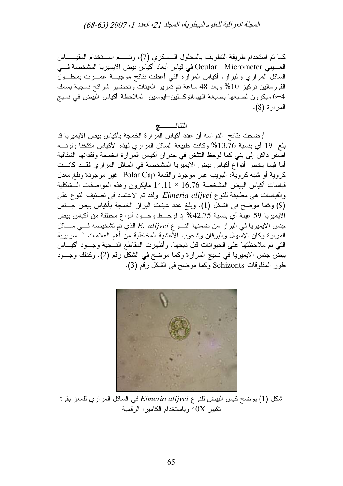كما تم استخدام طريقة التطويف بالمحلول الـسكرى (7)، وتــــم اســتخدام المقيــــــاس العـــبني Ocular Micrometer في قياس أبعاد أكياس بيض الايميريا المشخصة فـــي السائل المراري والبراز. أكياس المرارة التبي أعطت نتائج موجبــة غمـــرت بمحلـــول الفورمالين نركيز 10% وبعد 48 ساعة تم تمرير العينات وتحضير شرائح نسجية بسمك 6–4 ميكرون لصبغها بصبغة الهيماتوكسلين–ايوسين لملاحظة أكياس البيض في نسيج المر ار ۃ (8).

### النتائــــــــــج

أوضحت نتائج الدراسة أن عدد أكياس المرارة الخمجة بأكياس بيض الايميريا قد بلغ 19 أي بنسبة 13.76% وكانت طبيعة السائل المراري لهذه الأكياس متثخنا ولونــــه اصفر داكن إلى بني كما لوحظ النثخن في جدران أكياس المرارة الخمجة وفقدانها الشفافية أما فيما يخص أنواع أكياس بيض الايميريا المشخصة في السائل المراري فقــد كانــت كروية أو شبه كروية، البويب غير موجود والقبعة Polar Cap غير موجودة وبلغ معدل قياسات أكياس البيض المشخصة 16.76 × 14.11 مايكرون وهذه المواصفات الـــشكلية والقياسات هي مطابقة للنوع Eimeria alijvei ولقد تم الاعتماد في نصنيف النوع على (9) وكما موضح في الشكل (1). وبلغ عدد عينات البراز الخمجة بأكياس بيض جــنس الايميريا 59 عينة أي بنسبة 42.75% إذ لوحــظ وجــود أنواع مختلفة من أكياس بيض جنس الايميريا في البراز من ضمنها النسوع E. alijvei الذي تم تشخيصه فسي ســائل المرارة وكان الإسهال والبرقان وشحوب الأغشية المخاطية من أهم العلامات الـــسريرية التي تم ملاحظتها على الحيوانات قبل ذبحها. وأظهرت المقاطع النسجية وجـــود أكيــــاس بيض جنس الايميريا في نسيج المرارة وكما موضح في الشكل رقم (2). وكذلك وجــود طور المفلوقات Schizonts وكما موضح في الشكل رقم (3).



شكل (1) يوضح كيس البيض للنوع Eimeria alijvei في السائل المراري للمعز بقوة تكبير  $40X$  وباستخدام الكامير ا الرقمية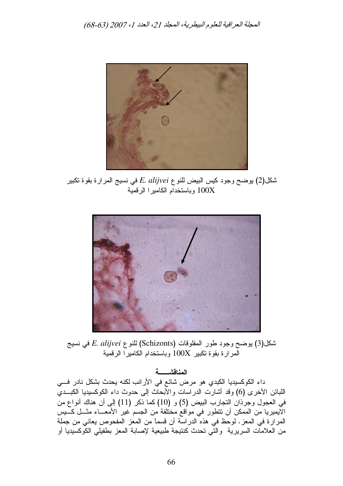

شكل(2) يوضح وجود كيس البيض للنو ع E. alijvei في نسيج المرارة بقوة تكبير وباستخدام الكاميرا الرقمية  $100\rm X$ 



شكل(3) يوضح وجود طور المفلوقات (Schizonts) للنوع *E. alijvei ف*ي نسيج المرارة بقوة تكبير  $100X$  وباستخدام الكاميرا الرقمية

المناقشــــــة

داء الكوكسيديا الكبدي هو مرض شائع في الأرانب لكنه يحدث بشكل نادر فـــي اللبائن الأخرى (6) وقد أشارت الدراسات والأبحاث إلى حدوث داء الكوكسيديا الكبـــدي في العجول وجرذان التجارب البيض (5) و (10) كما ذكر (11) إلى أن هناك أنواع من الايميريا من الممكن أن نتطور في مواقع مختلفة من الجسم غير الأمعـــاء مثـــل كــــيس المرارة في المعز . لوحظ في هذه الدراسة أن قسماً من المعز المفحوص يعاني من جملة من العلامات السريرية والتي تحدث كنتيجة طبيعية لإصابة المعز بطفيلي الكوكسيديا أو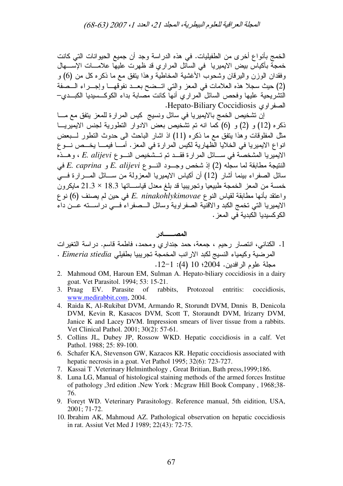الخمج بأنواع أخرى من الطفيليات. في هذه الدراسة وجد أن جميع الحيوانات التي كانت خمجة بأكياس بيض الايميريا في السائل المراري قد ظهرت عليها علامــــات الإســــهال وفقدان الوزن والبيرقان وشحوب الأغشية المخاطية وهذا بنفق مع ما ذكره كل من (6) و (2) حيث سجلا هذه العلامات في المعز والتي اتــضح بعــد نفوقهـــا وإجـــراء الـــصفة النشريحية عليها وفحص السائل المراري أنها كانت مصابة بداء الكوكـــسيديا الكبـــدي– . Hepato-Biliary Coccidiosis !G\$

إن تشخيص الخمج بالايميريا في سائل ونسيج كيس المرارة للمعز يتفق مع مـــا ذكره (12) و (6) (6) كما انه تم تشخيص بعض الادوار التطورية لجنس الايميريـــا مثل المفلوقات وهذا يتفق مع ما ذكره (11) اذ اشار الباحث الى حدوث النطور لـــبعض انواع الايميريا في الخلايا الظهارية لكيس المرارة في المعز . أمـــا فيمــــا يخـــص نـــو ع الايميريا المشخصة في ســـائل المرارة فقـــد تم تـــشخيص النــــو E. alijevi ، وهـــذه النتيجة مطابقة لما سجله (2) إذ شخص وجـــود النــــو *E. alijevi 5 و E. caprina في* سائل الصفراء بينما أشار (12) أن أكياس الايميريا المعزولة من ســـائل المــــرارة فــــي خمسة من المعز الخمجة طبيعيا وتجريبيا قد بلغ معدل قياســـاتها 18.3 × 21.3 مايكرون واعتقد بأنـها مطـابقة لقياس النوع E. ninakohlykimovae فـي حين لم يصنف (6) نوع الايميريا التي تخمج الكبد والاقنية الصفراوية وسائل الـــصفراء فـــي دراســـته عـــن داء الكوكسيديا الكبدية في المعز .

## المصــــــــــادر

- 1. الكناني، انتصار رحيم ، جمعة، حمد جنداري ومحمد، فاطمة قاسم. دراسة النغيرات المرضية وكيمياء النسيج لكبد الارانب المخمجة تجريبيا بطفيلي *Eimeria stiedia* . مجلة علوم الرافدين. 2004؛ 10 (4): 1-12.
- 2. Mahmoud OM, Haroun EM, Sulman A. Hepato-biliary coccidiosis in a dairy goat. Vet Parasitol. 1994; 53: 15-21.
- 3. Praag EV. Parasite of rabbits, Protozoal entritis: coccidiosis, www.medirabbit.com, 2004.
- 4. Raida K, Al-Rukibat DVM, Armando R, Storundt DVM, Dnnis B, Denicola DVM, Kevin R, Kasacos DVM, Scott T, Storaundt DVM, Irizarry DVM, Janice K and Lacey DVM. Impression smears of liver tissue from a rabbits. Vet Clinical Pathol. 2001; 30(2): 57-61.
- 5. Collins JL, Dubey JP, Rossow WKD. Hepatic coccidiosis in a calf. Vet Pathol. 1988; 25: 89-100.
- 6. Schafer KA, Stevenson GW, Kazacos KR. Hepatic coccidiosis associated with hepatic necrosis in a goat. Vet Pathol 1995; 32(6): 723-727.
- 7. Kassai T .Veterinary Helminthology , Great Britian, Bath press,1999;186.
- 8. Luna LG, Manual of histological staining methods of the armed forces Institue of pathology ,3rd edition .New York : Mcgraw Hill Book Company , 1968;38- 76.
- 9. Foreyt WD. Veterinary Parasitology. Reference manual, 5th eidition, USA, 2001; 71-72.
- 10. Ibrahim AK, Mahmoud AZ. Pathological observation on hepatic coccidiosis in rat. Assiut Vet Med J 1989; 22(43): 72-75.